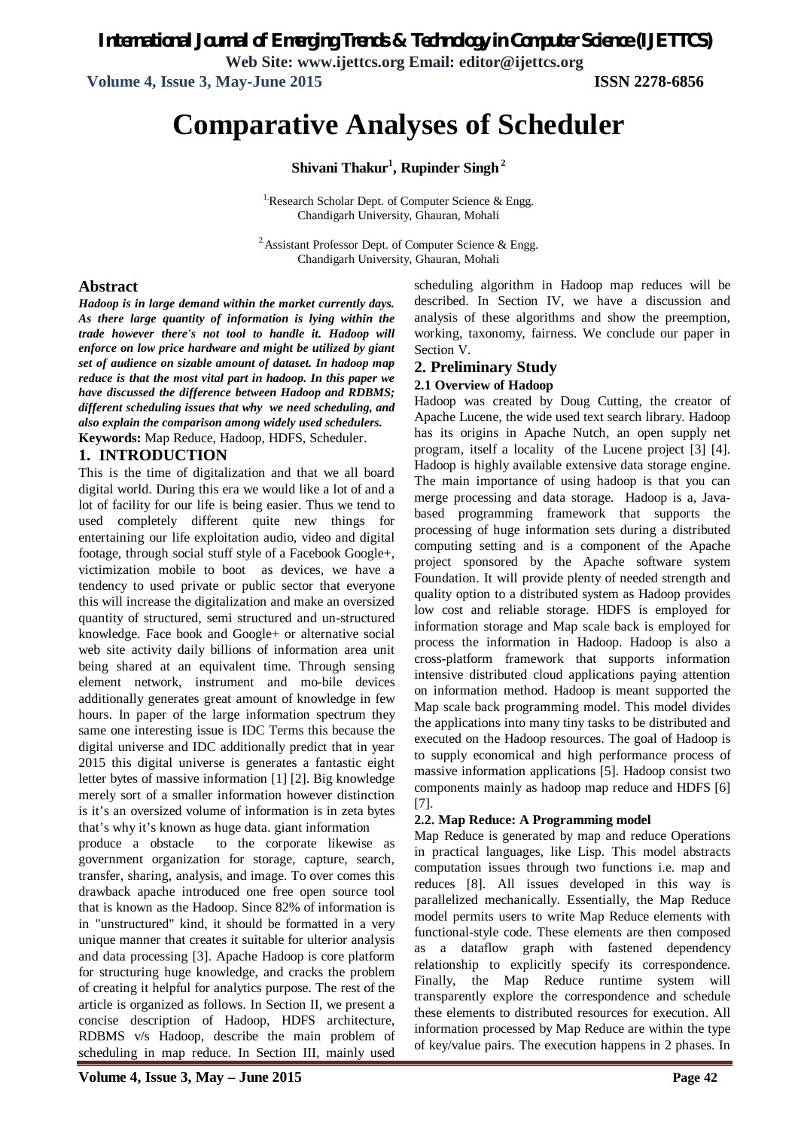**Volume 4, Issue 3, May-June 2015 ISSN 2278-6856**

# **Comparative Analyses of Scheduler**

**Shivani Thakur<sup>1</sup> , Rupinder Singh<sup>2</sup>**

<sup>1</sup>: Research Scholar Dept. of Computer Science  $\&$  Engg. Chandigarh University, Ghauran, Mohali

<sup>2</sup> Assistant Professor Dept. of Computer Science & Engg. Chandigarh University, Ghauran, Mohali

### **Abstract**

*Hadoop is in large demand within the market currently days. As there large quantity of information is lying within the trade however there's not tool to handle it. Hadoop will enforce on low price hardware and might be utilized by giant set of audience on sizable amount of dataset. In hadoop map reduce is that the most vital part in hadoop. In this paper we have discussed the difference between Hadoop and RDBMS; different scheduling issues that why we need scheduling, and also explain the comparison among widely used schedulers.* **Keywords:** Map Reduce, Hadoop, HDFS, Scheduler.

#### **1. INTRODUCTION**

This is the time of digitalization and that we all board digital world. During this era we would like a lot of and a lot of facility for our life is being easier. Thus we tend to used completely different quite new things for entertaining our life exploitation audio, video and digital footage, through social stuff style of a Facebook Google+, victimization mobile to boot as devices, we have a tendency to used private or public sector that everyone this will increase the digitalization and make an oversized quantity of structured, semi structured and un-structured knowledge. Face book and Google+ or alternative social web site activity daily billions of information area unit being shared at an equivalent time. Through sensing element network, instrument and mo-bile devices additionally generates great amount of knowledge in few hours. In paper of the large information spectrum they same one interesting issue is IDC Terms this because the digital universe and IDC additionally predict that in year 2015 this digital universe is generates a fantastic eight letter bytes of massive information [1] [2]. Big knowledge merely sort of a smaller information however distinction is it's an oversized volume of information is in zeta bytes that's why it's known as huge data. giant information

produce a obstacle to the corporate likewise as government organization for storage, capture, search, transfer, sharing, analysis, and image. To over comes this drawback apache introduced one free open source tool that is known as the Hadoop. Since 82% of information is in "unstructured" kind, it should be formatted in a very unique manner that creates it suitable for ulterior analysis and data processing [3]. Apache Hadoop is core platform for structuring huge knowledge, and cracks the problem of creating it helpful for analytics purpose. The rest of the article is organized as follows. In Section II, we present a concise description of Hadoop, HDFS architecture, RDBMS v/s Hadoop, describe the main problem of scheduling in map reduce. In Section III, mainly used

scheduling algorithm in Hadoop map reduces will be described. In Section IV, we have a discussion and analysis of these algorithms and show the preemption, working, taxonomy, fairness. We conclude our paper in Section V.

### **2. Preliminary Study**

#### **2.1 Overview of Hadoop**

Hadoop was created by Doug Cutting, the creator of Apache Lucene, the wide used text search library. Hadoop has its origins in Apache Nutch, an open supply net program, itself a locality of the Lucene project [3] [4]. Hadoop is highly available extensive data storage engine. The main importance of using hadoop is that you can merge processing and data storage. Hadoop is a, Javabased programming framework that supports the processing of huge information sets during a distributed computing setting and is a component of the Apache project sponsored by the Apache software system Foundation. It will provide plenty of needed strength and quality option to a distributed system as Hadoop provides low cost and reliable storage. HDFS is employed for information storage and Map scale back is employed for process the information in Hadoop. Hadoop is also a cross-platform framework that supports information intensive distributed cloud applications paying attention on information method. Hadoop is meant supported the Map scale back programming model. This model divides the applications into many tiny tasks to be distributed and executed on the Hadoop resources. The goal of Hadoop is to supply economical and high performance process of massive information applications [5]. Hadoop consist two components mainly as hadoop map reduce and HDFS [6] [7].

#### **2.2. Map Reduce: A Programming model**

Map Reduce is generated by map and reduce Operations in practical languages, like Lisp. This model abstracts computation issues through two functions i.e. map and reduces [8]. All issues developed in this way is parallelized mechanically. Essentially, the Map Reduce model permits users to write Map Reduce elements with functional-style code. These elements are then composed as a dataflow graph with fastened dependency relationship to explicitly specify its correspondence. Finally, the Map Reduce runtime system will transparently explore the correspondence and schedule these elements to distributed resources for execution. All information processed by Map Reduce are within the type of key/value pairs. The execution happens in 2 phases. In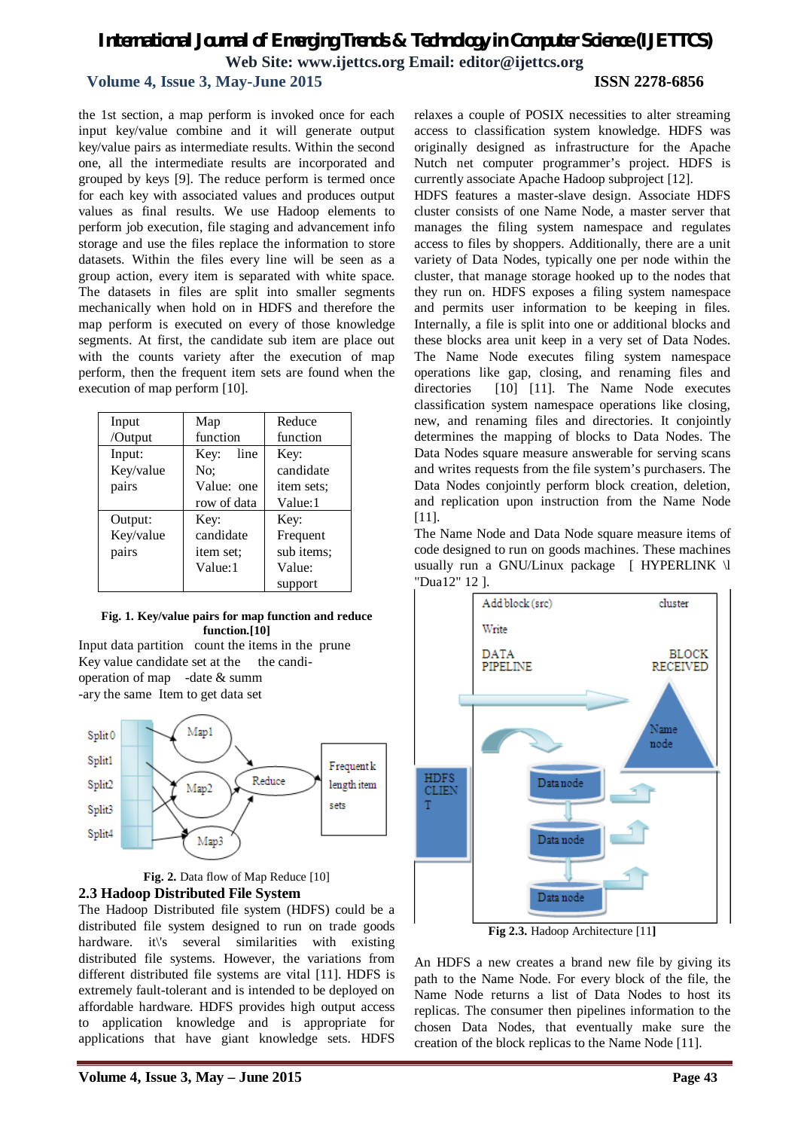## **Volume 4, Issue 3, May-June 2015 ISSN 2278-6856**

the 1st section, a map perform is invoked once for each input key/value combine and it will generate output key/value pairs as intermediate results. Within the second one, all the intermediate results are incorporated and grouped by keys [9]. The reduce perform is termed once for each key with associated values and produces output values as final results. We use Hadoop elements to perform job execution, file staging and advancement info storage and use the files replace the information to store datasets. Within the files every line will be seen as a group action, every item is separated with white space. The datasets in files are split into smaller segments mechanically when hold on in HDFS and therefore the map perform is executed on every of those knowledge segments. At first, the candidate sub item are place out with the counts variety after the execution of map perform, then the frequent item sets are found when the execution of map perform [10].

| Input     | Map          | Reduce     |  |
|-----------|--------------|------------|--|
| /Output   | function     | function   |  |
| Input:    | line<br>Key: | Key:       |  |
| Key/value | No:          | candidate  |  |
| pairs     | Value: one   | item sets: |  |
|           | row of data  | Value:1    |  |
| Output:   | Key:         | Key:       |  |
| Key/value | candidate    | Frequent   |  |
| pairs     | item set:    | sub items; |  |
|           | Value:1      | Value:     |  |
|           |              | support    |  |

#### **Fig. 1. Key/value pairs for map function and reduce function.[10]**





Fig. 2. Data flow of Map Reduce [10] **2.3 Hadoop Distributed File System**

The Hadoop Distributed file system (HDFS) could be a distributed file system designed to run on trade goods hardware. it\'s several similarities with existing distributed file systems. However, the variations from different distributed file systems are vital [11]. HDFS is extremely fault-tolerant and is intended to be deployed on affordable hardware. HDFS provides high output access to application knowledge and is appropriate for applications that have giant knowledge sets. HDFS

relaxes a couple of POSIX necessities to alter streaming access to classification system knowledge. HDFS was originally designed as infrastructure for the Apache Nutch net computer programmer's project. HDFS is currently associate Apache Hadoop subproject [12].

HDFS features a master-slave design. Associate HDFS cluster consists of one Name Node, a master server that manages the filing system namespace and regulates access to files by shoppers. Additionally, there are a unit variety of Data Nodes, typically one per node within the cluster, that manage storage hooked up to the nodes that they run on. HDFS exposes a filing system namespace and permits user information to be keeping in files. Internally, a file is split into one or additional blocks and these blocks area unit keep in a very set of Data Nodes. The Name Node executes filing system namespace operations like gap, closing, and renaming files and directories [10] [11]. The Name Node executes classification system namespace operations like closing, new, and renaming files and directories. It conjointly determines the mapping of blocks to Data Nodes. The Data Nodes square measure answerable for serving scans and writes requests from the file system's purchasers. The Data Nodes conjointly perform block creation, deletion, and replication upon instruction from the Name Node [11].

The Name Node and Data Node square measure items of code designed to run on goods machines. These machines usually run a GNU/Linux package [ HYPERLINK \l "Dua12" 12 ].



**Fig 2.3.** Hadoop Architecture [11**]**

An HDFS a new creates a brand new file by giving its path to the Name Node. For every block of the file, the Name Node returns a list of Data Nodes to host its replicas. The consumer then pipelines information to the chosen Data Nodes, that eventually make sure the creation of the block replicas to the Name Node [11].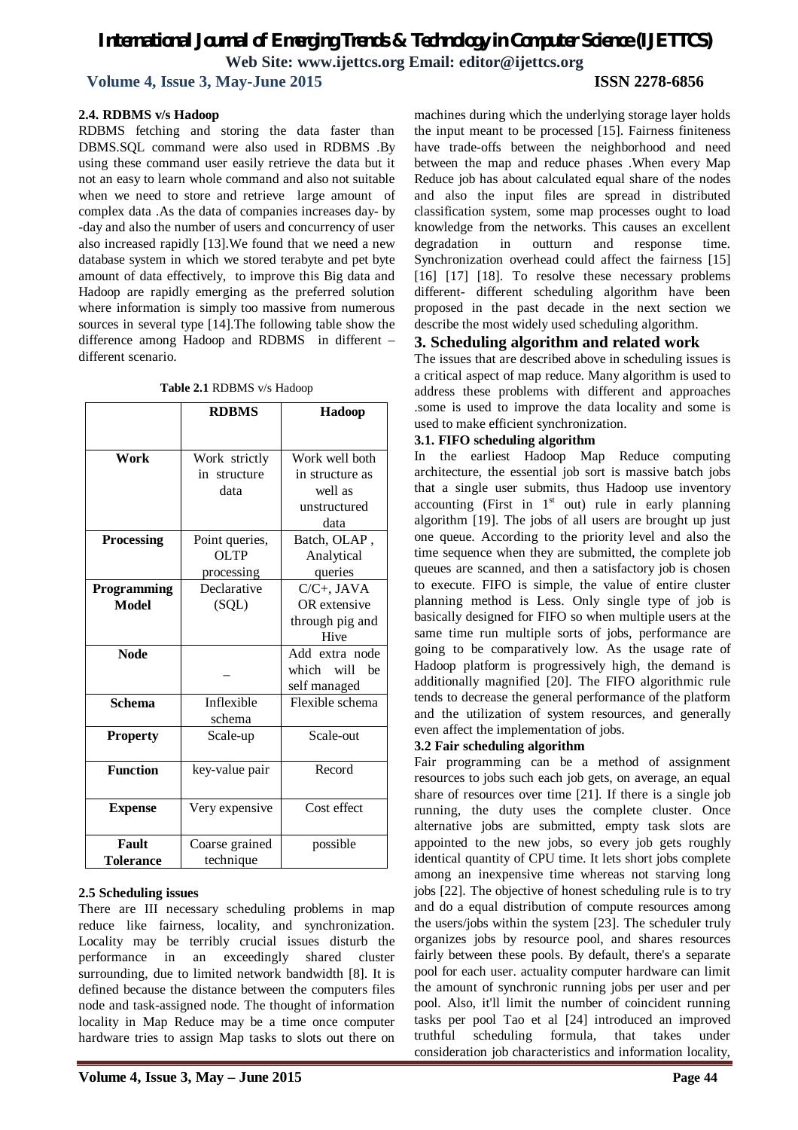**Volume 4, Issue 3, May-June 2015 ISSN 2278-6856**

#### **2.4. RDBMS v/s Hadoop**

RDBMS fetching and storing the data faster than DBMS.SQL command were also used in RDBMS .By using these command user easily retrieve the data but it not an easy to learn whole command and also not suitable when we need to store and retrieve large amount of complex data .As the data of companies increases day- by -day and also the number of users and concurrency of user also increased rapidly [13].We found that we need a new database system in which we stored terabyte and pet byte amount of data effectively, to improve this Big data and Hadoop are rapidly emerging as the preferred solution where information is simply too massive from numerous sources in several type [14].The following table show the difference among Hadoop and RDBMS in different – different scenario.

| Table 2.1 RDBMS v/s Hadoop |  |
|----------------------------|--|
|----------------------------|--|

|                    | <b>RDBMS</b>   | Hadoop          |  |
|--------------------|----------------|-----------------|--|
|                    |                |                 |  |
| Work               | Work strictly  | Work well both  |  |
|                    | in structure   | in structure as |  |
|                    | data           | well as         |  |
|                    |                | unstructured    |  |
|                    |                | data            |  |
| <b>Processing</b>  | Point queries, | Batch, OLAP,    |  |
|                    | <b>OLTP</b>    | Analytical      |  |
|                    | processing     | queries         |  |
| <b>Programming</b> | Declarative    | $C/C+$ , JAVA   |  |
| <b>Model</b>       | (SQL)          | OR extensive    |  |
|                    |                | through pig and |  |
|                    |                | Hive            |  |
| <b>Node</b>        |                | Add extra node  |  |
|                    |                | which will be   |  |
|                    |                | self managed    |  |
| <b>Schema</b>      | Inflexible     | Flexible schema |  |
|                    | schema         |                 |  |
| <b>Property</b>    | Scale-up       | Scale-out       |  |
| <b>Function</b>    | key-value pair | Record          |  |
|                    |                |                 |  |
| <b>Expense</b>     | Very expensive | Cost effect     |  |
| Fault              | Coarse grained | possible        |  |
| Tolerance          | technique      |                 |  |

#### **2.5 Scheduling issues**

There are III necessary scheduling problems in map reduce like fairness, locality, and synchronization. Locality may be terribly crucial issues disturb the performance in an exceedingly shared cluster surrounding, due to limited network bandwidth [8]. It is defined because the distance between the computers files node and task-assigned node. The thought of information locality in Map Reduce may be a time once computer hardware tries to assign Map tasks to slots out there on machines during which the underlying storage layer holds the input meant to be processed [15]. Fairness finiteness have trade-offs between the neighborhood and need between the map and reduce phases .When every Map Reduce job has about calculated equal share of the nodes and also the input files are spread in distributed classification system, some map processes ought to load knowledge from the networks. This causes an excellent degradation in outturn and response time. Synchronization overhead could affect the fairness [15] [16] [17] [18]. To resolve these necessary problems different- different scheduling algorithm have been proposed in the past decade in the next section we describe the most widely used scheduling algorithm.

#### **3. Scheduling algorithm and related work**

The issues that are described above in scheduling issues is a critical aspect of map reduce. Many algorithm is used to address these problems with different and approaches .some is used to improve the data locality and some is used to make efficient synchronization.

#### **3.1. FIFO scheduling algorithm**

In the earliest Hadoop Map Reduce computing architecture, the essential job sort is massive batch jobs that a single user submits, thus Hadoop use inventory accounting (First in  $1<sup>st</sup>$  out) rule in early planning algorithm [19]. The jobs of all users are brought up just one queue. According to the priority level and also the time sequence when they are submitted, the complete job queues are scanned, and then a satisfactory job is chosen to execute. FIFO is simple, the value of entire cluster planning method is Less. Only single type of job is basically designed for FIFO so when multiple users at the same time run multiple sorts of jobs, performance are going to be comparatively low. As the usage rate of Hadoop platform is progressively high, the demand is additionally magnified [20]. The FIFO algorithmic rule tends to decrease the general performance of the platform and the utilization of system resources, and generally even affect the implementation of jobs.

#### **3.2 Fair scheduling algorithm**

Fair programming can be a method of assignment resources to jobs such each job gets, on average, an equal share of resources over time [21]. If there is a single job running, the duty uses the complete cluster. Once alternative jobs are submitted, empty task slots are appointed to the new jobs, so every job gets roughly identical quantity of CPU time. It lets short jobs complete among an inexpensive time whereas not starving long jobs [22]. The objective of honest scheduling rule is to try and do a equal distribution of compute resources among the users/jobs within the system [23]. The scheduler truly organizes jobs by resource pool, and shares resources fairly between these pools. By default, there's a separate pool for each user. actuality computer hardware can limit the amount of synchronic running jobs per user and per pool. Also, it'll limit the number of coincident running tasks per pool Tao et al [24] introduced an improved truthful scheduling formula, that takes under consideration job characteristics and information locality,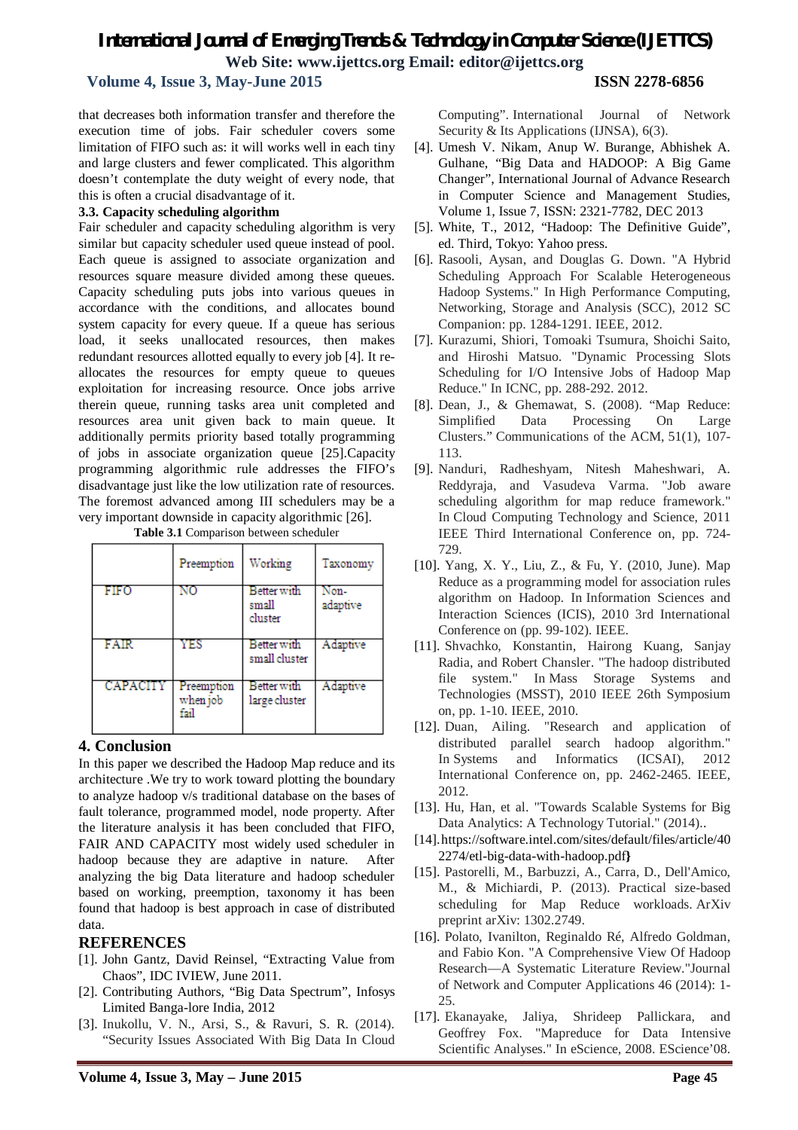#### **Volume 4, Issue 3, May-June 2015 ISSN 2278-6856**

that decreases both information transfer and therefore the execution time of jobs. Fair scheduler covers some limitation of FIFO such as: it will works well in each tiny and large clusters and fewer complicated. This algorithm doesn't contemplate the duty weight of every node, that this is often a crucial disadvantage of it.

#### **3.3. Capacity scheduling algorithm**

Fair scheduler and capacity scheduling algorithm is very similar but capacity scheduler used queue instead of pool. Each queue is assigned to associate organization and resources square measure divided among these queues. Capacity scheduling puts jobs into various queues in accordance with the conditions, and allocates bound system capacity for every queue. If a queue has serious load, it seeks unallocated resources, then makes redundant resources allotted equally to every job [4]. It reallocates the resources for empty queue to queues exploitation for increasing resource. Once jobs arrive therein queue, running tasks area unit completed and resources area unit given back to main queue. It additionally permits priority based totally programming of jobs in associate organization queue [25].Capacity programming algorithmic rule addresses the FIFO's disadvantage just like the low utilization rate of resources. The foremost advanced among III schedulers may be a very important downside in capacity algorithmic [26].

|                 | Preemption                     | Working                         | Taxonomy         |
|-----------------|--------------------------------|---------------------------------|------------------|
| FIFO            | NO                             | Better with<br>small<br>cluster | Non-<br>adaptive |
| FAIR            | YES                            | Better with<br>small cluster    | Adaptive         |
| <b>CAPACITY</b> | Preemption<br>when job<br>fail | Better with<br>large cluster    | Adaptive         |

**Table 3.1** Comparison between scheduler

### **4. Conclusion**

In this paper we described the Hadoop Map reduce and its architecture .We try to work toward plotting the boundary to analyze hadoop v/s traditional database on the bases of fault tolerance, programmed model, node property. After the literature analysis it has been concluded that FIFO, FAIR AND CAPACITY most widely used scheduler in hadoop because they are adaptive in nature. After analyzing the big Data literature and hadoop scheduler based on working, preemption, taxonomy it has been found that hadoop is best approach in case of distributed data.

#### **REFERENCES**

- [1]. John Gantz, David Reinsel, "Extracting Value from Chaos", IDC IVIEW, June 2011.
- [2]. Contributing Authors, "Big Data Spectrum", Infosys Limited Banga-lore India, 2012
- [3]. Inukollu, V. N., Arsi, S., & Ravuri, S. R. (2014). "Security Issues Associated With Big Data In Cloud

Computing". International Journal of Network Security & Its Applications (IJNSA), 6(3).

- [4]. Umesh V. Nikam, Anup W. Burange, Abhishek A. Gulhane, "Big Data and HADOOP: A Big Game Changer", International Journal of Advance Research in Computer Science and Management Studies, Volume 1, Issue 7, ISSN: 2321-7782, DEC 2013
- [5]. White, T., 2012, "Hadoop: The Definitive Guide", ed. Third, Tokyo: Yahoo press.
- [6]. Rasooli, Aysan, and Douglas G. Down. "A Hybrid Scheduling Approach For Scalable Heterogeneous Hadoop Systems." In High Performance Computing, Networking, Storage and Analysis (SCC), 2012 SC Companion: pp. 1284-1291. IEEE, 2012.
- [7]. Kurazumi, Shiori, Tomoaki Tsumura, Shoichi Saito, and Hiroshi Matsuo. "Dynamic Processing Slots Scheduling for I/O Intensive Jobs of Hadoop Map Reduce." In ICNC, pp. 288-292. 2012.
- [8]. Dean, J., & Ghemawat, S. (2008). "Map Reduce: Simplified Data Processing On Large Clusters." Communications of the ACM, 51(1), 107- 113.
- [9]. Nanduri, Radheshyam, Nitesh Maheshwari, A. Reddyraja, and Vasudeva Varma. "Job aware scheduling algorithm for map reduce framework." In Cloud Computing Technology and Science, 2011 IEEE Third International Conference on, pp. 724- 729.
- [10]. Yang, X. Y., Liu, Z., & Fu, Y. (2010, June). Map Reduce as a programming model for association rules algorithm on Hadoop. In Information Sciences and Interaction Sciences (ICIS), 2010 3rd International Conference on (pp. 99-102). IEEE.
- [11]. Shvachko, Konstantin, Hairong Kuang, Sanjay Radia, and Robert Chansler. "The hadoop distributed file system." In Mass Storage Systems and Technologies (MSST), 2010 IEEE 26th Symposium on, pp. 1-10. IEEE, 2010.
- [12]. Duan, Ailing. "Research and application of distributed parallel search hadoop algorithm." In Systems and Informatics (ICSAI), 2012 International Conference on, pp. 2462-2465. IEEE, 2012.
- [13]. Hu, Han, et al. "Towards Scalable Systems for Big Data Analytics: A Technology Tutorial." (2014)..
- [14].https://software.intel.com/sites/default/files/article/40 2274/etl-big-data-with-hadoop.pdf**}**
- [15]. Pastorelli, M., Barbuzzi, A., Carra, D., Dell'Amico, M., & Michiardi, P. (2013). Practical size-based scheduling for Map Reduce workloads. ArXiv preprint arXiv: 1302.2749.
- [16]. Polato, Ivanilton, Reginaldo Ré, Alfredo Goldman, and Fabio Kon. "A Comprehensive View Of Hadoop Research—A Systematic Literature Review."Journal of Network and Computer Applications 46 (2014): 1- 25.
- [17]. Ekanayake, Jaliya, Shrideep Pallickara, and Geoffrey Fox. "Mapreduce for Data Intensive Scientific Analyses." In eScience, 2008. EScience'08.